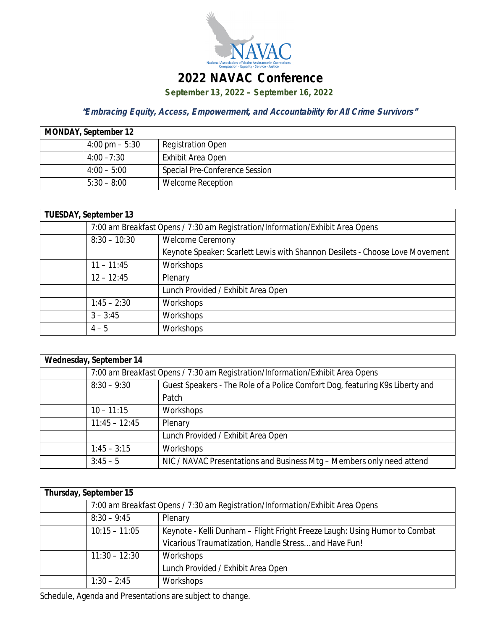

## **2022 NAVAC Conference**

**September 13, 2022 – September 16, 2022**

## *"Embracing Equity, Access, Empowerment, and Accountability for All Crime Survivors"*

| <b>MONDAY, September 12</b> |                          |                                |
|-----------------------------|--------------------------|--------------------------------|
|                             | $4:00 \text{ pm} - 5:30$ | <b>Registration Open</b>       |
|                             | $4:00 - 7:30$            | Exhibit Area Open              |
|                             | $4:00 - 5:00$            | Special Pre-Conference Session |
|                             | $5:30 - 8:00$            | <b>Welcome Reception</b>       |

| <b>TUESDAY, September 13</b> |                                                                               |                                                                              |
|------------------------------|-------------------------------------------------------------------------------|------------------------------------------------------------------------------|
|                              | 7:00 am Breakfast Opens / 7:30 am Registration/Information/Exhibit Area Opens |                                                                              |
|                              | $8:30 - 10:30$                                                                | <b>Welcome Ceremony</b>                                                      |
|                              |                                                                               | Keynote Speaker: Scarlett Lewis with Shannon Desilets - Choose Love Movement |
|                              | $11 - 11:45$                                                                  | Workshops                                                                    |
|                              | $12 - 12:45$                                                                  | Plenary                                                                      |
|                              |                                                                               | Lunch Provided / Exhibit Area Open                                           |
|                              | $1:45 - 2:30$                                                                 | Workshops                                                                    |
|                              | $3 - 3:45$                                                                    | Workshops                                                                    |
|                              | $4 - 5$                                                                       | Workshops                                                                    |

| Wednesday, September 14 |                                                                               |                                                                              |
|-------------------------|-------------------------------------------------------------------------------|------------------------------------------------------------------------------|
|                         | 7:00 am Breakfast Opens / 7:30 am Registration/Information/Exhibit Area Opens |                                                                              |
|                         | $8:30 - 9:30$                                                                 | Guest Speakers - The Role of a Police Comfort Dog, featuring K9s Liberty and |
|                         |                                                                               | Patch                                                                        |
|                         | $10 - 11:15$                                                                  | Workshops                                                                    |
|                         | $11:45 - 12:45$                                                               | Plenary                                                                      |
|                         |                                                                               | Lunch Provided / Exhibit Area Open                                           |
|                         | $1:45 - 3:15$                                                                 | Workshops                                                                    |
|                         | $3:45-5$                                                                      | NIC / NAVAC Presentations and Business Mtg - Members only need attend        |

| Thursday, September 15 |                                                                               |                                                                            |
|------------------------|-------------------------------------------------------------------------------|----------------------------------------------------------------------------|
|                        | 7:00 am Breakfast Opens / 7:30 am Registration/Information/Exhibit Area Opens |                                                                            |
|                        | $8:30 - 9:45$                                                                 | Plenary                                                                    |
|                        | $10:15 - 11:05$                                                               | Keynote - Kelli Dunham - Flight Fright Freeze Laugh: Using Humor to Combat |
|                        |                                                                               | Vicarious Traumatization, Handle Stress and Have Fun!                      |
|                        | $11:30 - 12:30$                                                               | Workshops                                                                  |
|                        |                                                                               | Lunch Provided / Exhibit Area Open                                         |
|                        | $1:30 - 2:45$                                                                 | Workshops                                                                  |

Schedule, Agenda and Presentations are subject to change.